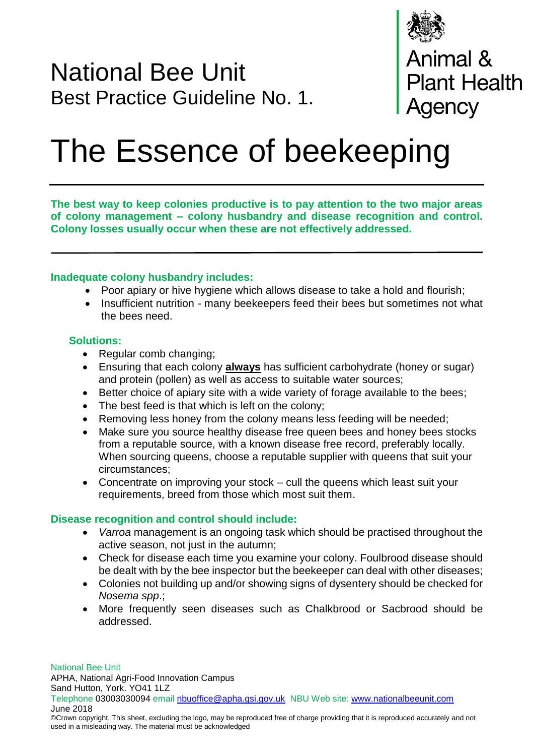

# National Bee Unit Best Practice Guideline No. 1.

**Animal &<br>Plant Health** Agency

# The Essence of beekeeping

**The best way to keep colonies productive is to pay attention to the two major areas of colony management – colony husbandry and disease recognition and control. Colony losses usually occur when these are not effectively addressed.**

## **Inadequate colony husbandry includes:**

- Poor apiary or hive hygiene which allows disease to take a hold and flourish;
- Insufficient nutrition many beekeepers feed their bees but sometimes not what the bees need.

#### **Solutions:**

- Regular comb changing;
- Ensuring that each colony **always** has sufficient carbohydrate (honey or sugar) and protein (pollen) as well as access to suitable water sources;
- Better choice of apiary site with a wide variety of forage available to the bees;
- The best feed is that which is left on the colony;
- Removing less honey from the colony means less feeding will be needed;
- Make sure you source healthy disease free queen bees and honey bees stocks from a reputable source, with a known disease free record, preferably locally. When sourcing queens, choose a reputable supplier with queens that suit your circumstances;
- Concentrate on improving your stock cull the queens which least suit your requirements, breed from those which most suit them.

#### **Disease recognition and control should include:**

- *Varroa* management is an ongoing task which should be practised throughout the active season, not just in the autumn;
- Check for disease each time you examine your colony. Foulbrood disease should be dealt with by the bee inspector but the beekeeper can deal with other diseases;
- Colonies not building up and/or showing signs of dysentery should be checked for *Nosema spp*.;
- More frequently seen diseases such as Chalkbrood or Sacbrood should be addressed.